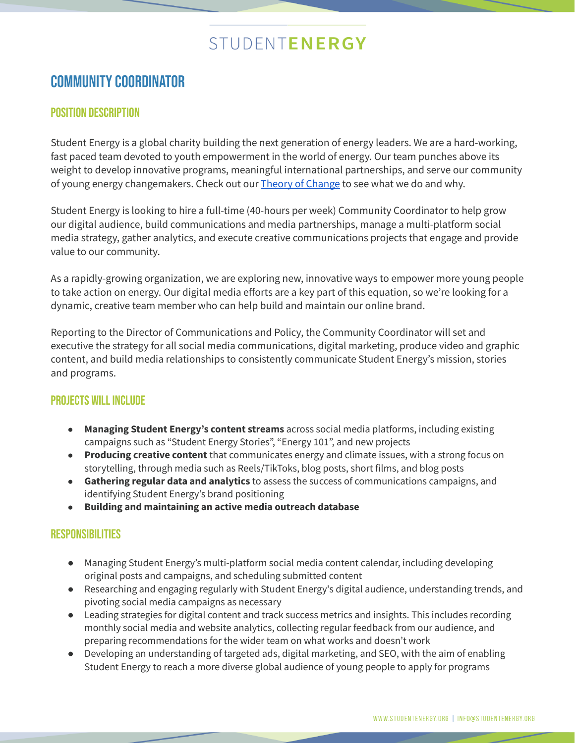## STUDENTENERGY

### COMMUNITY COORDINATOR

#### Position Description

Student Energy is a global charity building the next generation of energy leaders. We are a hard-working, fast paced team devoted to youth empowerment in the world of energy. Our team punches above its weight to develop innovative programs, meaningful international partnerships, and serve our community of young energy changemakers. Check out our Theory of [Change](https://www.studentenergy.org/studentenergy) to see what we do and why.

Student Energy is looking to hire a full-time (40-hours per week) Community Coordinator to help grow our digital audience, build communications and media partnerships, manage a multi-platform social media strategy, gather analytics, and execute creative communications projects that engage and provide value to our community.

As a rapidly-growing organization, we are exploring new, innovative ways to empower more young people to take action on energy. Our digital media efforts are a key part of this equation, so we're looking for a dynamic, creative team member who can help build and maintain our online brand.

Reporting to the Director of Communications and Policy, the Community Coordinator will set and executive the strategy for all social media communications, digital marketing, produce video and graphic content, and build media relationships to consistently communicate Student Energy's mission, stories and programs.

#### **PROJECTS WILL INCLUDE**

- **Managing Student Energy's content streams** across social media platforms, including existing campaigns such as "Student Energy Stories", "Energy 101", and new projects
- **Producing creative content** that communicates energy and climate issues, with a strong focus on storytelling, through media such as Reels/TikToks, blog posts, short films, and blog posts
- **Gathering regular data and analytics** to assess the success of communications campaigns, and identifying Student Energy's brand positioning
- **Building and maintaining an active media outreach database**

#### **RESPONSIBILITIES**

- Managing Student Energy's multi-platform social media content calendar, including developing original posts and campaigns, and scheduling submitted content
- Researching and engaging regularly with Student Energy's digital audience, understanding trends, and pivoting social media campaigns as necessary
- Leading strategies for digital content and track success metrics and insights. This includes recording monthly social media and website analytics, collecting regular feedback from our audience, and preparing recommendations for the wider team on what works and doesn't work
- Developing an understanding of targeted ads, digital marketing, and SEO, with the aim of enabling Student Energy to reach a more diverse global audience of young people to apply for programs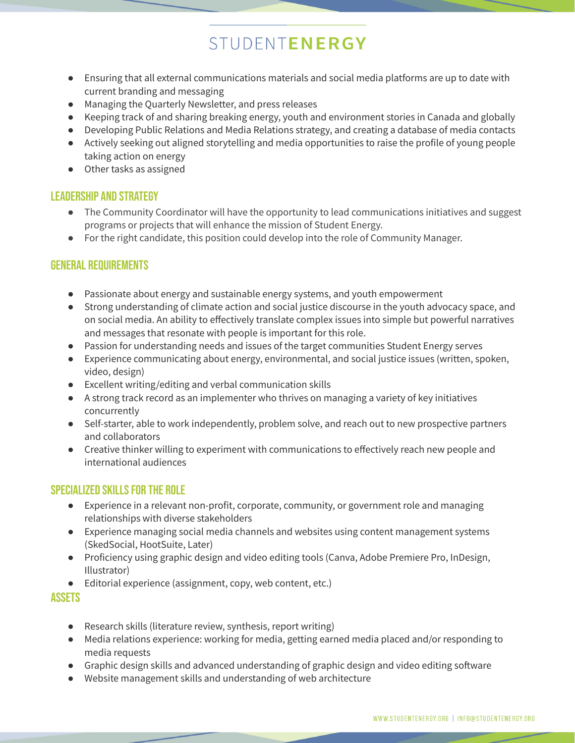# STUDENTENERGY

- Ensuring that all external communications materials and social media platforms are up to date with current branding and messaging
- Managing the Quarterly Newsletter, and press releases
- Keeping track of and sharing breaking energy, youth and environment stories in Canada and globally
- Developing Public Relations and Media Relations strategy, and creating a database of media contacts
- Actively seeking out aligned storytelling and media opportunities to raise the profile of young people taking action on energy
- Other tasks as assigned

#### Leadership and strategy

- The Community Coordinator will have the opportunity to lead communications initiatives and suggest programs or projects that will enhance the mission of Student Energy.
- For the right candidate, this position could develop into the role of Community Manager.

#### general requirements

- Passionate about energy and sustainable energy systems, and youth empowerment
- Strong understanding of climate action and social justice discourse in the youth advocacy space, and on social media. An ability to effectively translate complex issues into simple but powerful narratives and messages that resonate with people is important for this role.
- Passion for understanding needs and issues of the target communities Student Energy serves
- Experience communicating about energy, environmental, and social justice issues (written, spoken, video, design)
- Excellent writing/editing and verbal communication skills
- A strong track record as an implementer who thrives on managing a variety of key initiatives concurrently
- Self-starter, able to work independently, problem solve, and reach out to new prospective partners and collaborators
- Creative thinker willing to experiment with communications to effectively reach new people and international audiences

#### SPECIALIZED SKILLS FOR THE ROLE

- Experience in a relevant non-profit, corporate, community, or government role and managing relationships with diverse stakeholders
- Experience managing social media channels and websites using content management systems (SkedSocial, HootSuite, Later)
- Proficiency using graphic design and video editing tools (Canva, Adobe Premiere Pro, InDesign, Illustrator)
- Editorial experience (assignment, copy, web content, etc.)

#### **ASSETS**

- Research skills (literature review, synthesis, report writing)
- Media relations experience: working for media, getting earned media placed and/or responding to media requests
- Graphic design skills and advanced understanding of graphic design and video editing software
- Website management skills and understanding of web architecture